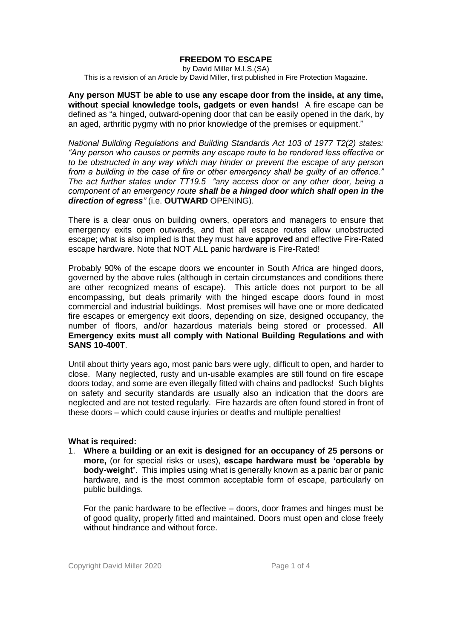# **FREEDOM TO ESCAPE**

by David Miller M.I.S.(SA) This is a revision of an Article by David Miller, first published in Fire Protection Magazine.

**Any person MUST be able to use any escape door from the inside, at any time, without special knowledge tools, gadgets or even hands!** A fire escape can be defined as "a hinged, outward-opening door that can be easily opened in the dark, by an aged, arthritic pygmy with no prior knowledge of the premises or equipment."

*National Building Regulations and Building Standards Act 103 of 1977 T2(2) states: "Any person who causes or permits any escape route to be rendered less effective or to be obstructed in any way which may hinder or prevent the escape of any person from a building in the case of fire or other emergency shall be guilty of an offence." The act further states under TT19.5 "any access door or any other door, being a component of an emergency route shall be a hinged door which shall open in the direction of egress"* (i.e. **OUTWARD** OPENING).

There is a clear onus on building owners, operators and managers to ensure that emergency exits open outwards, and that all escape routes allow unobstructed escape; what is also implied is that they must have **approved** and effective Fire-Rated escape hardware. Note that NOT ALL panic hardware is Fire-Rated!

Probably 90% of the escape doors we encounter in South Africa are hinged doors, governed by the above rules (although in certain circumstances and conditions there are other recognized means of escape). This article does not purport to be all encompassing, but deals primarily with the hinged escape doors found in most commercial and industrial buildings. Most premises will have one or more dedicated fire escapes or emergency exit doors, depending on size, designed occupancy, the number of floors, and/or hazardous materials being stored or processed. **All Emergency exits must all comply with National Building Regulations and with SANS 10-400T**.

Until about thirty years ago, most panic bars were ugly, difficult to open, and harder to close. Many neglected, rusty and un-usable examples are still found on fire escape doors today, and some are even illegally fitted with chains and padlocks! Such blights on safety and security standards are usually also an indication that the doors are neglected and are not tested regularly. Fire hazards are often found stored in front of these doors – which could cause injuries or deaths and multiple penalties!

### **What is required:**

1. **Where a building or an exit is designed for an occupancy of 25 persons or more,** (or for special risks or uses), **escape hardware must be 'operable by body-weight'**. This implies using what is generally known as a panic bar or panic hardware, and is the most common acceptable form of escape, particularly on public buildings.

For the panic hardware to be effective – doors, door frames and hinges must be of good quality, properly fitted and maintained. Doors must open and close freely without hindrance and without force.

Copyright David Miller 2020 Page 1 of 4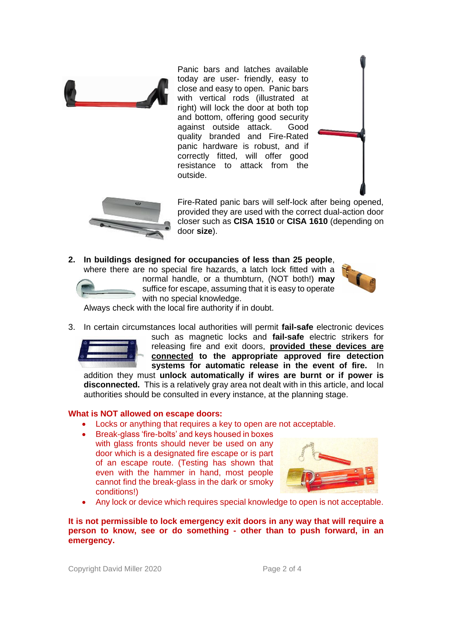

Panic bars and latches available today are user- friendly, easy to close and easy to open. Panic bars with vertical rods (illustrated at right) will lock the door at both top and bottom, offering good security against outside attack. Good quality branded and Fire-Rated panic hardware is robust, and if correctly fitted, will offer good resistance to attack from the outside.



Fire-Rated panic bars will self-lock after being opened, provided they are used with the correct dual-action door closer such as **CISA 1510** or **CISA 1610** (depending on door **size**).

**2. In buildings designed for occupancies of less than 25 people**, where there are no special fire hazards, a latch lock fitted with a

normal handle, or a thumbturn, (NOT both!) **may** suffice for escape, assuming that it is easy to operate with no special knowledge.



Always check with the local fire authority if in doubt.

3. In certain circumstances local authorities will permit **fail-safe** electronic devices



such as magnetic locks and **fail-safe** electric strikers for releasing fire and exit doors, **provided these devices are connected to the appropriate approved fire detection systems for automatic release in the event of fire.** In

addition they must **unlock automatically if wires are burnt or if power is disconnected.** This is a relatively gray area not dealt with in this article, and local authorities should be consulted in every instance, at the planning stage.

### **What is NOT allowed on escape doors:**

- Locks or anything that requires a key to open are not acceptable.
	- Break-glass 'fire-bolts' and keys housed in boxes
	- with glass fronts should never be used on any door which is a designated fire escape or is part of an escape route. (Testing has shown that even with the hammer in hand, most people cannot find the break-glass in the dark or smoky conditions!)



• Any lock or device which requires special knowledge to open is not acceptable.

**It is not permissible to lock emergency exit doors in any way that will require a person to know, see or do something - other than to push forward, in an emergency.**

Copyright David Miller 2020 Page 2 of 4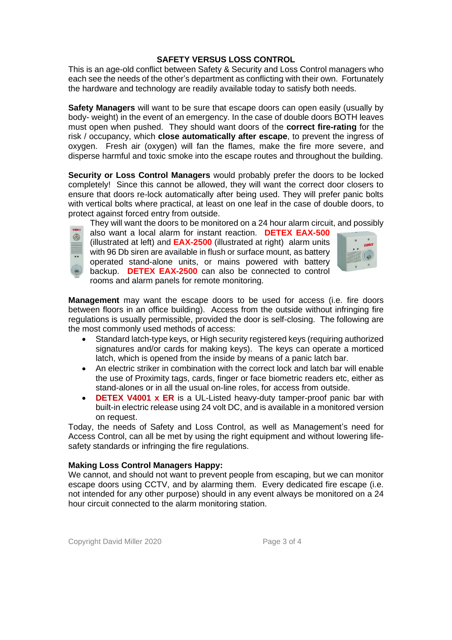## **SAFETY VERSUS LOSS CONTROL**

This is an age-old conflict between Safety & Security and Loss Control managers who each see the needs of the other's department as conflicting with their own. Fortunately the hardware and technology are readily available today to satisfy both needs.

**Safety Managers** will want to be sure that escape doors can open easily (usually by body- weight) in the event of an emergency. In the case of double doors BOTH leaves must open when pushed. They should want doors of the **correct fire-rating** for the risk / occupancy, which **close automatically after escape**, to prevent the ingress of oxygen. Fresh air (oxygen) will fan the flames, make the fire more severe, and disperse harmful and toxic smoke into the escape routes and throughout the building.

**Security or Loss Control Managers** would probably prefer the doors to be locked completely! Since this cannot be allowed, they will want the correct door closers to ensure that doors re-lock automatically after being used. They will prefer panic bolts with vertical bolts where practical, at least on one leaf in the case of double doors, to protect against forced entry from outside.

They will want the doors to be monitored on a 24 hour alarm circuit, and possibly

also want a local alarm for instant reaction. **DETEX EAX-500**  (illustrated at left) and **EAX-2500** (illustrated at right) alarm units with 96 Db siren are available in flush or surface mount, as battery operated stand-alone units, or mains powered with battery backup. **DETEX EAX-2500** can also be connected to control rooms and alarm panels for remote monitoring.



**Management** may want the escape doors to be used for access (i.e. fire doors between floors in an office building). Access from the outside without infringing fire regulations is usually permissible, provided the door is self-closing. The following are the most commonly used methods of access:

- Standard latch-type keys, or High security registered keys (requiring authorized signatures and/or cards for making keys). The keys can operate a morticed latch, which is opened from the inside by means of a panic latch bar.
- An electric striker in combination with the correct lock and latch bar will enable the use of Proximity tags, cards, finger or face biometric readers etc, either as stand-alones or in all the usual on-line roles, for access from outside.
- **DETEX V4001 x ER** is a UL-Listed heavy-duty tamper-proof panic bar with built-in electric release using 24 volt DC, and is available in a monitored version on request.

Today, the needs of Safety and Loss Control, as well as Management's need for Access Control, can all be met by using the right equipment and without lowering lifesafety standards or infringing the fire regulations.

# **Making Loss Control Managers Happy:**

We cannot, and should not want to prevent people from escaping, but we can monitor escape doors using CCTV, and by alarming them. Every dedicated fire escape (i.e. not intended for any other purpose) should in any event always be monitored on a 24 hour circuit connected to the alarm monitoring station.

Copyright David Miller 2020 Page 3 of 4